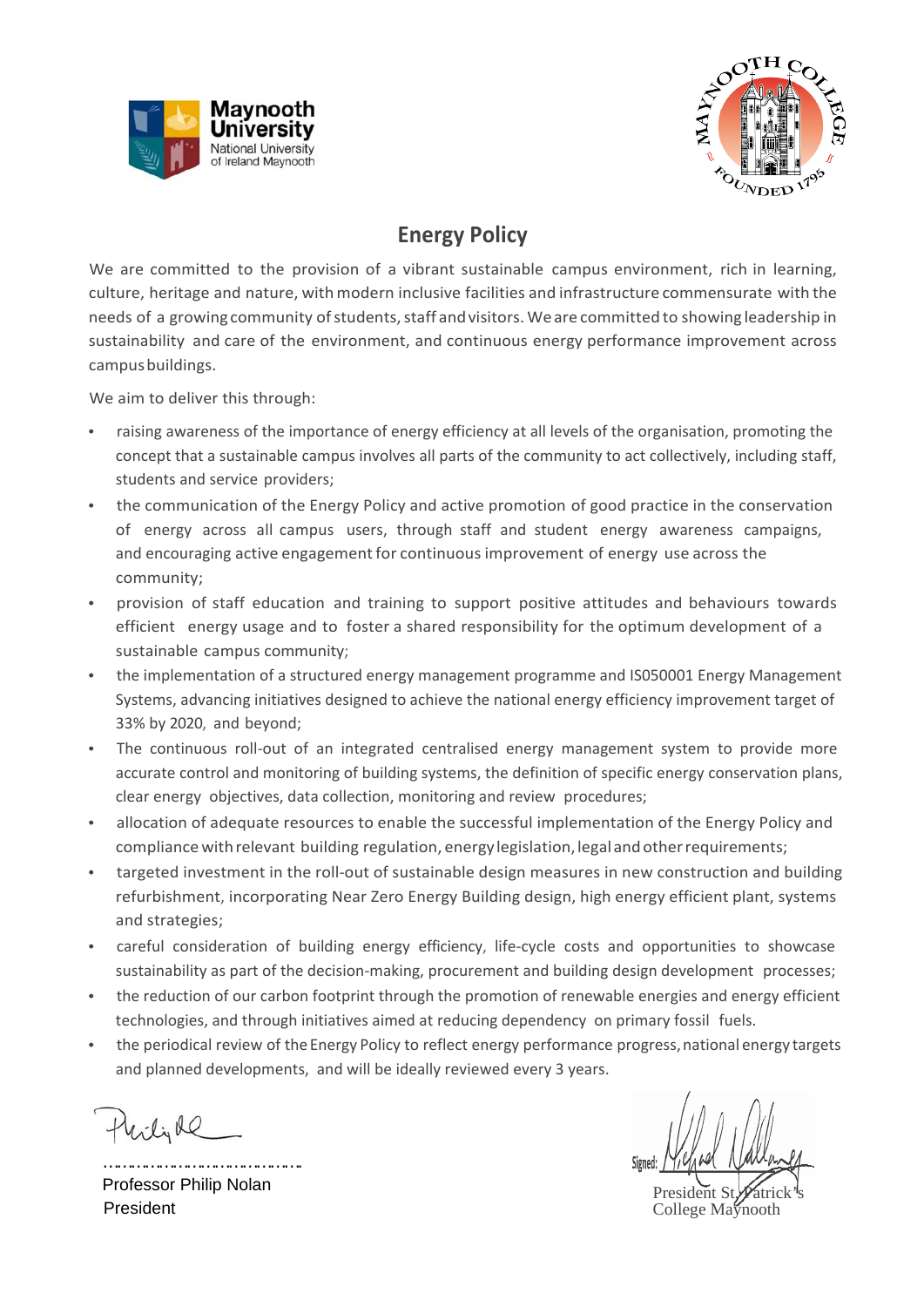



## **Energy Policy**

We are committed to the provision of a vibrant sustainable campus environment, rich in learning, culture, heritage and nature, with modern inclusive facilities and infrastructure commensurate with the needs of a growing community of students, staff and visitors. We are committed to showing leadership in sustainability and care of the environment, and continuous energy performance improvement across campus buildings.

We aim to deliver this through:

- raising awareness of the importance of energy efficiency at all levels of the organisation, promoting the concept that a sustainable campus involves all parts of the community to act collectively, including staff, students and service providers;
- the communication of the Energy Policy and active promotion of good practice in the conservation of energy across all campus users, through staff and student energy awareness campaigns, and encouraging active engagement for continuous improvement of energy use across the community;
- provision of staff education and training to support positive attitudes and behaviours towards efficient energy usage and to foster a shared responsibility for the optimum development of a sustainable campus community;
- the implementation of a structured energy management programme and IS050001 Energy Management Systems, advancing initiatives designed to achieve the national energy efficiency improvement target of 33% by 2020, and beyond;
- The continuous roll-out of an integrated centralised energy management system to provide more accurate control and monitoring of building systems, the definition of specific energy conservation plans, clear energy objectives, data collection, monitoring and review procedures;
- allocation of adequate resources to enable the successful implementation of the Energy Policy and compliance with relevant building regulation, energy legislation, legal and other requirements;
- targeted investment in the roll-out of sustainable design measures in new construction and building refurbishment, incorporating Near Zero Energy Building design, high energy efficient plant, systems and strategies;
- careful consideration of building energy efficiency, life-cycle costs and opportunities to showcase sustainability as part of the decision-making, procurement and building design development processes;
- the reduction of our carbon footprint through the promotion of renewable energies and energy efficient technologies, and through initiatives aimed at reducing dependency on primary fossil fuels.
- the periodical review of the Energy Policy to reflect energy performance progress, national energy targets and planned developments, and will be ideally reviewed every 3 years.

Wilial

……………………………………. Professor Philip Nolan President

President St. College Maynooth